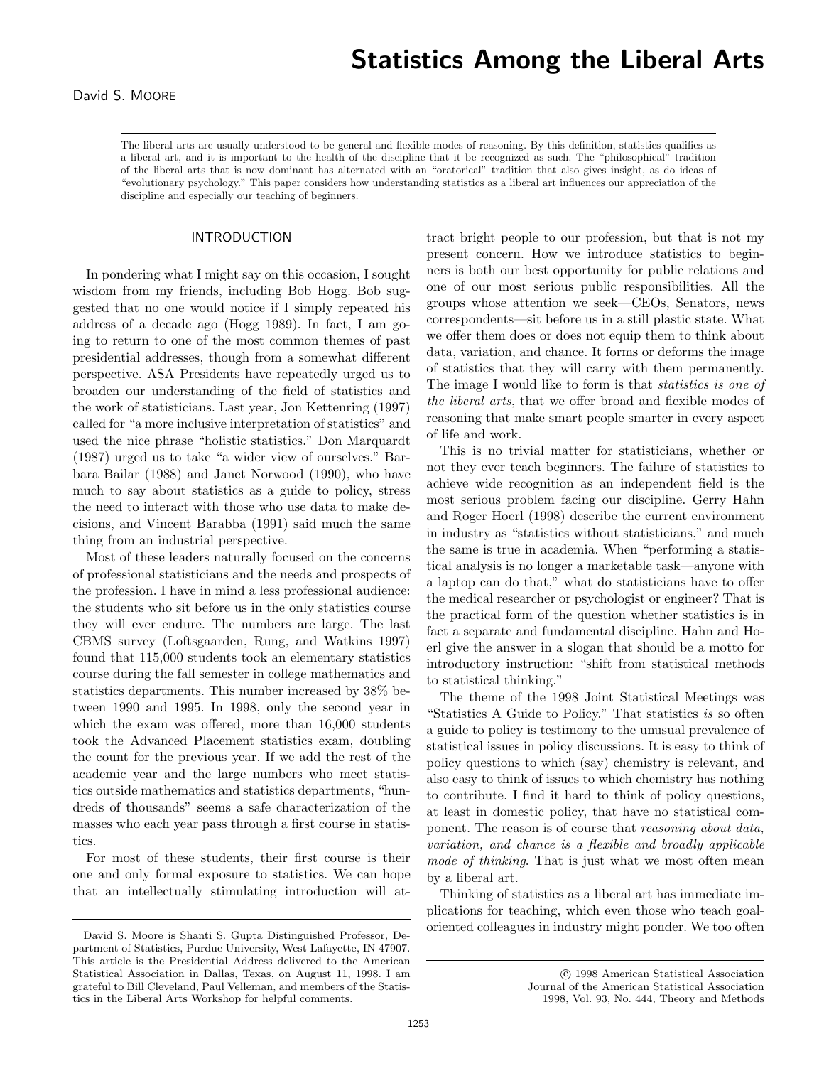The liberal arts are usually understood to be general and flexible modes of reasoning. By this definition, statistics qualifies as a liberal art, and it is important to the health of the discipline that it be recognized as such. The "philosophical" tradition of the liberal arts that is now dominant has alternated with an "oratorical" tradition that also gives insight, as do ideas of "evolutionary psychology." This paper considers how understanding statistics as a liberal art influences our appreciation of the discipline and especially our teaching of beginners.

## INTRODUCTION

In pondering what I might say on this occasion, I sought wisdom from my friends, including Bob Hogg. Bob suggested that no one would notice if I simply repeated his address of a decade ago (Hogg 1989). In fact, I am going to return to one of the most common themes of past presidential addresses, though from a somewhat different perspective. ASA Presidents have repeatedly urged us to broaden our understanding of the field of statistics and the work of statisticians. Last year, Jon Kettenring (1997) called for "a more inclusive interpretation of statistics" and used the nice phrase "holistic statistics." Don Marquardt (1987) urged us to take "a wider view of ourselves." Barbara Bailar (1988) and Janet Norwood (1990), who have much to say about statistics as a guide to policy, stress the need to interact with those who use data to make decisions, and Vincent Barabba (1991) said much the same thing from an industrial perspective.

Most of these leaders naturally focused on the concerns of professional statisticians and the needs and prospects of the profession. I have in mind a less professional audience: the students who sit before us in the only statistics course they will ever endure. The numbers are large. The last CBMS survey (Loftsgaarden, Rung, and Watkins 1997) found that 115,000 students took an elementary statistics course during the fall semester in college mathematics and statistics departments. This number increased by 38% between 1990 and 1995. In 1998, only the second year in which the exam was offered, more than 16,000 students took the Advanced Placement statistics exam, doubling the count for the previous year. If we add the rest of the academic year and the large numbers who meet statistics outside mathematics and statistics departments, "hundreds of thousands" seems a safe characterization of the masses who each year pass through a first course in statistics.

For most of these students, their first course is their one and only formal exposure to statistics. We can hope that an intellectually stimulating introduction will at-

tract bright people to our profession, but that is not my present concern. How we introduce statistics to beginners is both our best opportunity for public relations and one of our most serious public responsibilities. All the groups whose attention we seek—CEOs, Senators, news correspondents—sit before us in a still plastic state. What we offer them does or does not equip them to think about data, variation, and chance. It forms or deforms the image of statistics that they will carry with them permanently. The image I would like to form is that *statistics is one of the liberal arts*, that we offer broad and flexible modes of reasoning that make smart people smarter in every aspect of life and work.

This is no trivial matter for statisticians, whether or not they ever teach beginners. The failure of statistics to achieve wide recognition as an independent field is the most serious problem facing our discipline. Gerry Hahn and Roger Hoerl (1998) describe the current environment in industry as "statistics without statisticians," and much the same is true in academia. When "performing a statistical analysis is no longer a marketable task—anyone with a laptop can do that," what do statisticians have to offer the medical researcher or psychologist or engineer? That is the practical form of the question whether statistics is in fact a separate and fundamental discipline. Hahn and Hoerl give the answer in a slogan that should be a motto for introductory instruction: "shift from statistical methods to statistical thinking."

The theme of the 1998 Joint Statistical Meetings was "Statistics A Guide to Policy." That statistics *is* so often a guide to policy is testimony to the unusual prevalence of statistical issues in policy discussions. It is easy to think of policy questions to which (say) chemistry is relevant, and also easy to think of issues to which chemistry has nothing to contribute. I find it hard to think of policy questions, at least in domestic policy, that have no statistical component. The reason is of course that *reasoning about data, variation, and chance is a flexible and broadly applicable mode of thinking*. That is just what we most often mean by a liberal art.

Thinking of statistics as a liberal art has immediate implications for teaching, which even those who teach goaloriented colleagues in industry might ponder. We too often

David S. Moore is Shanti S. Gupta Distinguished Professor, Department of Statistics, Purdue University, West Lafayette, IN 47907. This article is the Presidential Address delivered to the American Statistical Association in Dallas, Texas, on August 11, 1998. I am grateful to Bill Cleveland, Paul Velleman, and members of the Statistics in the Liberal Arts Workshop for helpful comments.

<sup>°</sup>c 1998 American Statistical Association Journal of the American Statistical Association 1998, Vol. 93, No. 444, Theory and Methods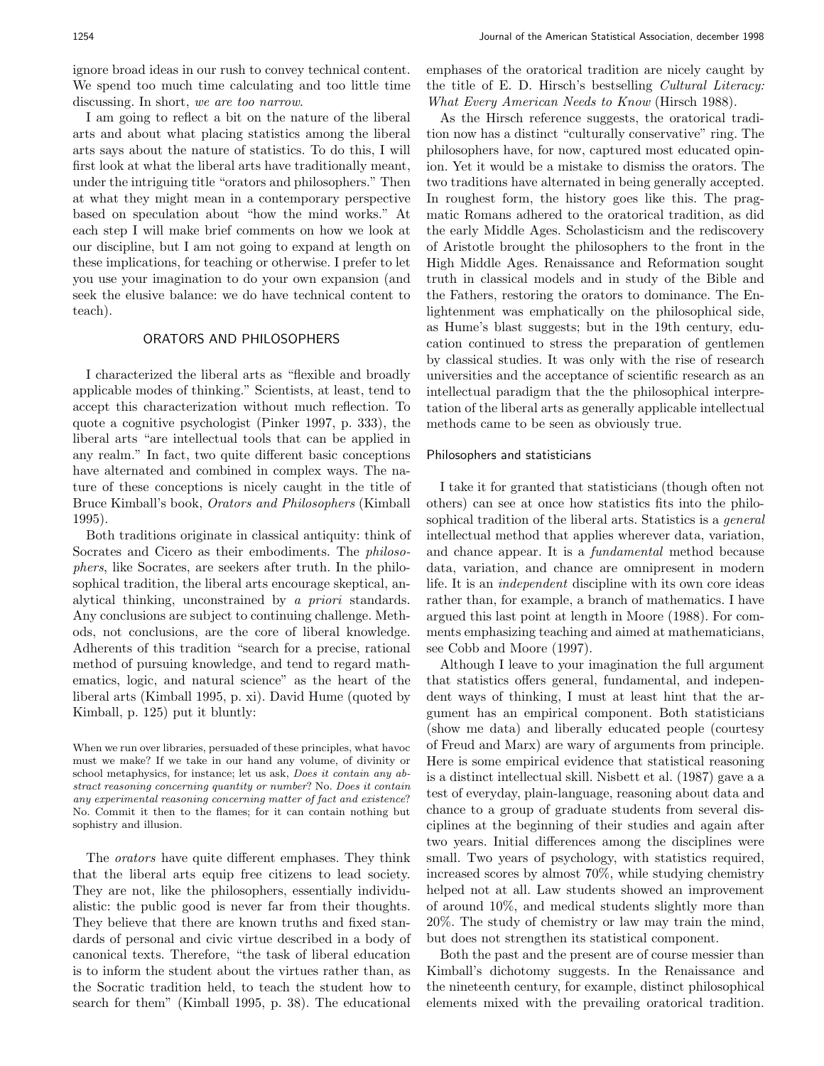ignore broad ideas in our rush to convey technical content. We spend too much time calculating and too little time discussing. In short, *we are too narrow*.

I am going to reflect a bit on the nature of the liberal arts and about what placing statistics among the liberal arts says about the nature of statistics. To do this, I will first look at what the liberal arts have traditionally meant, under the intriguing title "orators and philosophers." Then at what they might mean in a contemporary perspective based on speculation about "how the mind works." At each step I will make brief comments on how we look at our discipline, but I am not going to expand at length on these implications, for teaching or otherwise. I prefer to let you use your imagination to do your own expansion (and seek the elusive balance: we do have technical content to teach).

# ORATORS AND PHILOSOPHERS

I characterized the liberal arts as "flexible and broadly applicable modes of thinking." Scientists, at least, tend to accept this characterization without much reflection. To quote a cognitive psychologist (Pinker 1997, p. 333), the liberal arts "are intellectual tools that can be applied in any realm." In fact, two quite different basic conceptions have alternated and combined in complex ways. The nature of these conceptions is nicely caught in the title of Bruce Kimball's book, *Orators and Philosophers* (Kimball 1995).

Both traditions originate in classical antiquity: think of Socrates and Cicero as their embodiments. The *philosophers*, like Socrates, are seekers after truth. In the philosophical tradition, the liberal arts encourage skeptical, analytical thinking, unconstrained by *a priori* standards. Any conclusions are subject to continuing challenge. Methods, not conclusions, are the core of liberal knowledge. Adherents of this tradition "search for a precise, rational method of pursuing knowledge, and tend to regard mathematics, logic, and natural science" as the heart of the liberal arts (Kimball 1995, p. xi). David Hume (quoted by Kimball, p. 125) put it bluntly:

The *orators* have quite different emphases. They think that the liberal arts equip free citizens to lead society. They are not, like the philosophers, essentially individualistic: the public good is never far from their thoughts. They believe that there are known truths and fixed standards of personal and civic virtue described in a body of canonical texts. Therefore, "the task of liberal education is to inform the student about the virtues rather than, as the Socratic tradition held, to teach the student how to search for them" (Kimball 1995, p. 38). The educational

emphases of the oratorical tradition are nicely caught by the title of E. D. Hirsch's bestselling *Cultural Literacy: What Every American Needs to Know* (Hirsch 1988).

As the Hirsch reference suggests, the oratorical tradition now has a distinct "culturally conservative" ring. The philosophers have, for now, captured most educated opinion. Yet it would be a mistake to dismiss the orators. The two traditions have alternated in being generally accepted. In roughest form, the history goes like this. The pragmatic Romans adhered to the oratorical tradition, as did the early Middle Ages. Scholasticism and the rediscovery of Aristotle brought the philosophers to the front in the High Middle Ages. Renaissance and Reformation sought truth in classical models and in study of the Bible and the Fathers, restoring the orators to dominance. The Enlightenment was emphatically on the philosophical side, as Hume's blast suggests; but in the 19th century, education continued to stress the preparation of gentlemen by classical studies. It was only with the rise of research universities and the acceptance of scientific research as an intellectual paradigm that the the philosophical interpretation of the liberal arts as generally applicable intellectual methods came to be seen as obviously true.

## Philosophers and statisticians

I take it for granted that statisticians (though often not others) can see at once how statistics fits into the philosophical tradition of the liberal arts. Statistics is a *general* intellectual method that applies wherever data, variation, and chance appear. It is a *fundamental* method because data, variation, and chance are omnipresent in modern life. It is an *independent* discipline with its own core ideas rather than, for example, a branch of mathematics. I have argued this last point at length in Moore (1988). For comments emphasizing teaching and aimed at mathematicians, see Cobb and Moore (1997).

Although I leave to your imagination the full argument that statistics offers general, fundamental, and independent ways of thinking, I must at least hint that the argument has an empirical component. Both statisticians (show me data) and liberally educated people (courtesy of Freud and Marx) are wary of arguments from principle. Here is some empirical evidence that statistical reasoning is a distinct intellectual skill. Nisbett et al. (1987) gave a a test of everyday, plain-language, reasoning about data and chance to a group of graduate students from several disciplines at the beginning of their studies and again after two years. Initial differences among the disciplines were small. Two years of psychology, with statistics required, increased scores by almost 70%, while studying chemistry helped not at all. Law students showed an improvement of around 10%, and medical students slightly more than 20%. The study of chemistry or law may train the mind, but does not strengthen its statistical component.

Both the past and the present are of course messier than Kimball's dichotomy suggests. In the Renaissance and the nineteenth century, for example, distinct philosophical elements mixed with the prevailing oratorical tradition.

When we run over libraries, persuaded of these principles, what havoc must we make? If we take in our hand any volume, of divinity or school metaphysics, for instance; let us ask, Does it contain any abstract reasoning concerning quantity or number? No. Does it contain any experimental reasoning concerning matter of fact and existence? No. Commit it then to the flames; for it can contain nothing but sophistry and illusion.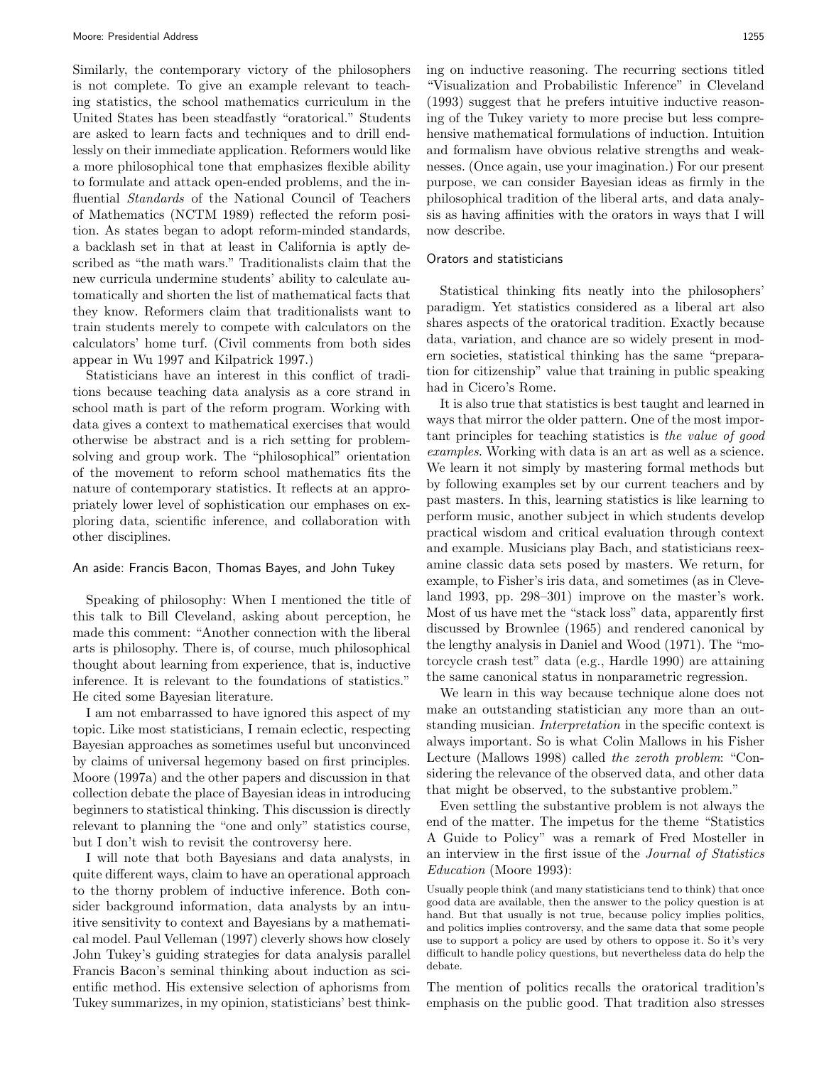Similarly, the contemporary victory of the philosophers is not complete. To give an example relevant to teaching statistics, the school mathematics curriculum in the United States has been steadfastly "oratorical." Students are asked to learn facts and techniques and to drill endlessly on their immediate application. Reformers would like a more philosophical tone that emphasizes flexible ability to formulate and attack open-ended problems, and the influential *Standards* of the National Council of Teachers of Mathematics (NCTM 1989) reflected the reform position. As states began to adopt reform-minded standards, a backlash set in that at least in California is aptly described as "the math wars." Traditionalists claim that the new curricula undermine students' ability to calculate automatically and shorten the list of mathematical facts that they know. Reformers claim that traditionalists want to train students merely to compete with calculators on the calculators' home turf. (Civil comments from both sides appear in Wu 1997 and Kilpatrick 1997.)

Statisticians have an interest in this conflict of traditions because teaching data analysis as a core strand in school math is part of the reform program. Working with data gives a context to mathematical exercises that would otherwise be abstract and is a rich setting for problemsolving and group work. The "philosophical" orientation of the movement to reform school mathematics fits the nature of contemporary statistics. It reflects at an appropriately lower level of sophistication our emphases on exploring data, scientific inference, and collaboration with other disciplines.

### An aside: Francis Bacon, Thomas Bayes, and John Tukey

Speaking of philosophy: When I mentioned the title of this talk to Bill Cleveland, asking about perception, he made this comment: "Another connection with the liberal arts is philosophy. There is, of course, much philosophical thought about learning from experience, that is, inductive inference. It is relevant to the foundations of statistics." He cited some Bayesian literature.

I am not embarrassed to have ignored this aspect of my topic. Like most statisticians, I remain eclectic, respecting Bayesian approaches as sometimes useful but unconvinced by claims of universal hegemony based on first principles. Moore (1997a) and the other papers and discussion in that collection debate the place of Bayesian ideas in introducing beginners to statistical thinking. This discussion is directly relevant to planning the "one and only" statistics course, but I don't wish to revisit the controversy here.

I will note that both Bayesians and data analysts, in quite different ways, claim to have an operational approach to the thorny problem of inductive inference. Both consider background information, data analysts by an intuitive sensitivity to context and Bayesians by a mathematical model. Paul Velleman (1997) cleverly shows how closely John Tukey's guiding strategies for data analysis parallel Francis Bacon's seminal thinking about induction as scientific method. His extensive selection of aphorisms from Tukey summarizes, in my opinion, statisticians' best thinking on inductive reasoning. The recurring sections titled "Visualization and Probabilistic Inference" in Cleveland (1993) suggest that he prefers intuitive inductive reasoning of the Tukey variety to more precise but less comprehensive mathematical formulations of induction. Intuition and formalism have obvious relative strengths and weaknesses. (Once again, use your imagination.) For our present purpose, we can consider Bayesian ideas as firmly in the philosophical tradition of the liberal arts, and data analysis as having affinities with the orators in ways that I will now describe.

# Orators and statisticians

Statistical thinking fits neatly into the philosophers' paradigm. Yet statistics considered as a liberal art also shares aspects of the oratorical tradition. Exactly because data, variation, and chance are so widely present in modern societies, statistical thinking has the same "preparation for citizenship" value that training in public speaking had in Cicero's Rome.

It is also true that statistics is best taught and learned in ways that mirror the older pattern. One of the most important principles for teaching statistics is *the value of good examples*. Working with data is an art as well as a science. We learn it not simply by mastering formal methods but by following examples set by our current teachers and by past masters. In this, learning statistics is like learning to perform music, another subject in which students develop practical wisdom and critical evaluation through context and example. Musicians play Bach, and statisticians reexamine classic data sets posed by masters. We return, for example, to Fisher's iris data, and sometimes (as in Cleveland 1993, pp. 298–301) improve on the master's work. Most of us have met the "stack loss" data, apparently first discussed by Brownlee (1965) and rendered canonical by the lengthy analysis in Daniel and Wood (1971). The "motorcycle crash test" data (e.g., Hardle 1990) are attaining the same canonical status in nonparametric regression.

We learn in this way because technique alone does not make an outstanding statistician any more than an outstanding musician. *Interpretation* in the specific context is always important. So is what Colin Mallows in his Fisher Lecture (Mallows 1998) called *the zeroth problem*: "Considering the relevance of the observed data, and other data that might be observed, to the substantive problem."

Even settling the substantive problem is not always the end of the matter. The impetus for the theme "Statistics A Guide to Policy" was a remark of Fred Mosteller in an interview in the first issue of the *Journal of Statistics Education* (Moore 1993):

Usually people think (and many statisticians tend to think) that once good data are available, then the answer to the policy question is at hand. But that usually is not true, because policy implies politics, and politics implies controversy, and the same data that some people use to support a policy are used by others to oppose it. So it's very difficult to handle policy questions, but nevertheless data do help the debate.

The mention of politics recalls the oratorical tradition's emphasis on the public good. That tradition also stresses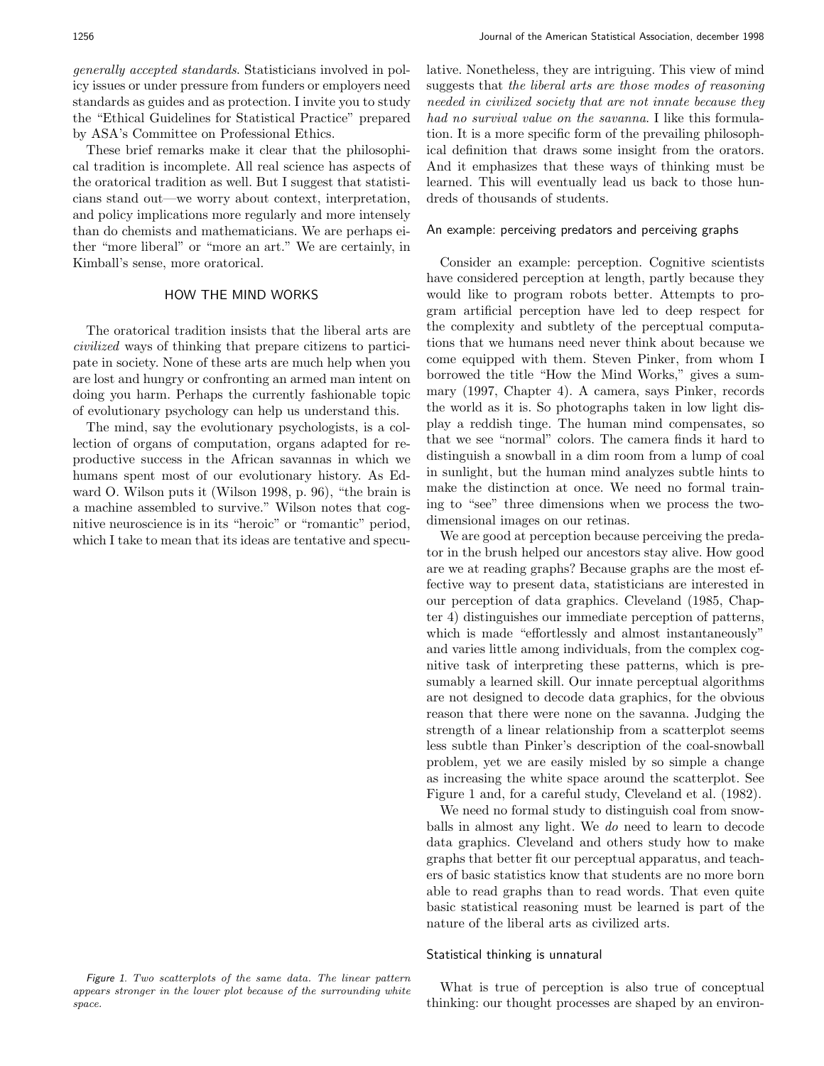*generally accepted standards*. Statisticians involved in policy issues or under pressure from funders or employers need standards as guides and as protection. I invite you to study the "Ethical Guidelines for Statistical Practice" prepared by ASA's Committee on Professional Ethics.

These brief remarks make it clear that the philosophical tradition is incomplete. All real science has aspects of the oratorical tradition as well. But I suggest that statisticians stand out—we worry about context, interpretation, and policy implications more regularly and more intensely than do chemists and mathematicians. We are perhaps either "more liberal" or "more an art." We are certainly, in Kimball's sense, more oratorical.

## HOW THE MIND WORKS

The oratorical tradition insists that the liberal arts are *civilized* ways of thinking that prepare citizens to participate in society. None of these arts are much help when you are lost and hungry or confronting an armed man intent on doing you harm. Perhaps the currently fashionable topic of evolutionary psychology can help us understand this.

The mind, say the evolutionary psychologists, is a collection of organs of computation, organs adapted for reproductive success in the African savannas in which we humans spent most of our evolutionary history. As Edward O. Wilson puts it (Wilson 1998, p. 96), "the brain is a machine assembled to survive." Wilson notes that cognitive neuroscience is in its "heroic" or "romantic" period, which I take to mean that its ideas are tentative and speculative. Nonetheless, they are intriguing. This view of mind suggests that *the liberal arts are those modes of reasoning needed in civilized society that are not innate because they had no survival value on the savanna*. I like this formulation. It is a more specific form of the prevailing philosophical definition that draws some insight from the orators. And it emphasizes that these ways of thinking must be learned. This will eventually lead us back to those hundreds of thousands of students.

#### An example: perceiving predators and perceiving graphs

Consider an example: perception. Cognitive scientists have considered perception at length, partly because they would like to program robots better. Attempts to program artificial perception have led to deep respect for the complexity and subtlety of the perceptual computations that we humans need never think about because we come equipped with them. Steven Pinker, from whom I borrowed the title "How the Mind Works," gives a summary (1997, Chapter 4). A camera, says Pinker, records the world as it is. So photographs taken in low light display a reddish tinge. The human mind compensates, so that we see "normal" colors. The camera finds it hard to distinguish a snowball in a dim room from a lump of coal in sunlight, but the human mind analyzes subtle hints to make the distinction at once. We need no formal training to "see" three dimensions when we process the twodimensional images on our retinas.

We are good at perception because perceiving the predator in the brush helped our ancestors stay alive. How good are we at reading graphs? Because graphs are the most effective way to present data, statisticians are interested in our perception of data graphics. Cleveland (1985, Chapter 4) distinguishes our immediate perception of patterns, which is made "effortlessly and almost instantaneously" and varies little among individuals, from the complex cognitive task of interpreting these patterns, which is presumably a learned skill. Our innate perceptual algorithms are not designed to decode data graphics, for the obvious reason that there were none on the savanna. Judging the strength of a linear relationship from a scatterplot seems less subtle than Pinker's description of the coal-snowball problem, yet we are easily misled by so simple a change as increasing the white space around the scatterplot. See Figure 1 and, for a careful study, Cleveland et al. (1982).

We need no formal study to distinguish coal from snowballs in almost any light. We *do* need to learn to decode data graphics. Cleveland and others study how to make graphs that better fit our perceptual apparatus, and teachers of basic statistics know that students are no more born able to read graphs than to read words. That even quite basic statistical reasoning must be learned is part of the nature of the liberal arts as civilized arts.

#### Statistical thinking is unnatural

What is true of perception is also true of conceptual thinking: our thought processes are shaped by an environ-

Figure 1. Two scatterplots of the same data. The linear pattern appears stronger in the lower plot because of the surrounding white space.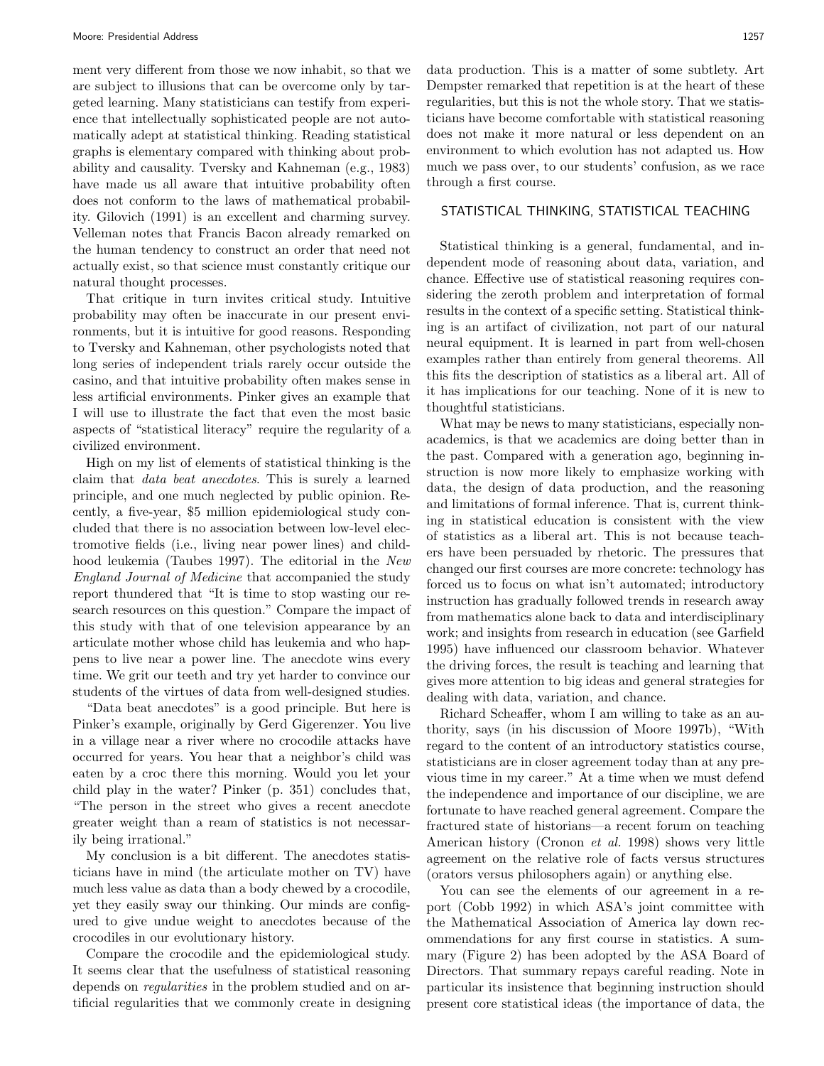ment very different from those we now inhabit, so that we are subject to illusions that can be overcome only by targeted learning. Many statisticians can testify from experience that intellectually sophisticated people are not automatically adept at statistical thinking. Reading statistical graphs is elementary compared with thinking about probability and causality. Tversky and Kahneman (e.g., 1983) have made us all aware that intuitive probability often does not conform to the laws of mathematical probability. Gilovich (1991) is an excellent and charming survey. Velleman notes that Francis Bacon already remarked on the human tendency to construct an order that need not actually exist, so that science must constantly critique our natural thought processes.

That critique in turn invites critical study. Intuitive probability may often be inaccurate in our present environments, but it is intuitive for good reasons. Responding to Tversky and Kahneman, other psychologists noted that long series of independent trials rarely occur outside the casino, and that intuitive probability often makes sense in less artificial environments. Pinker gives an example that I will use to illustrate the fact that even the most basic aspects of "statistical literacy" require the regularity of a civilized environment.

High on my list of elements of statistical thinking is the claim that *data beat anecdotes*. This is surely a learned principle, and one much neglected by public opinion. Recently, a five-year, \$5 million epidemiological study concluded that there is no association between low-level electromotive fields (i.e., living near power lines) and childhood leukemia (Taubes 1997). The editorial in the *New England Journal of Medicine* that accompanied the study report thundered that "It is time to stop wasting our research resources on this question." Compare the impact of this study with that of one television appearance by an articulate mother whose child has leukemia and who happens to live near a power line. The anecdote wins every time. We grit our teeth and try yet harder to convince our students of the virtues of data from well-designed studies.

"Data beat anecdotes" is a good principle. But here is Pinker's example, originally by Gerd Gigerenzer. You live in a village near a river where no crocodile attacks have occurred for years. You hear that a neighbor's child was eaten by a croc there this morning. Would you let your child play in the water? Pinker (p. 351) concludes that, "The person in the street who gives a recent anecdote greater weight than a ream of statistics is not necessarily being irrational."

My conclusion is a bit different. The anecdotes statisticians have in mind (the articulate mother on TV) have much less value as data than a body chewed by a crocodile, yet they easily sway our thinking. Our minds are configured to give undue weight to anecdotes because of the crocodiles in our evolutionary history.

Compare the crocodile and the epidemiological study. It seems clear that the usefulness of statistical reasoning depends on *regularities* in the problem studied and on artificial regularities that we commonly create in designing data production. This is a matter of some subtlety. Art Dempster remarked that repetition is at the heart of these regularities, but this is not the whole story. That we statisticians have become comfortable with statistical reasoning does not make it more natural or less dependent on an environment to which evolution has not adapted us. How much we pass over, to our students' confusion, as we race through a first course.

### STATISTICAL THINKING, STATISTICAL TEACHING

Statistical thinking is a general, fundamental, and independent mode of reasoning about data, variation, and chance. Effective use of statistical reasoning requires considering the zeroth problem and interpretation of formal results in the context of a specific setting. Statistical thinking is an artifact of civilization, not part of our natural neural equipment. It is learned in part from well-chosen examples rather than entirely from general theorems. All this fits the description of statistics as a liberal art. All of it has implications for our teaching. None of it is new to thoughtful statisticians.

What may be news to many statisticians, especially nonacademics, is that we academics are doing better than in the past. Compared with a generation ago, beginning instruction is now more likely to emphasize working with data, the design of data production, and the reasoning and limitations of formal inference. That is, current thinking in statistical education is consistent with the view of statistics as a liberal art. This is not because teachers have been persuaded by rhetoric. The pressures that changed our first courses are more concrete: technology has forced us to focus on what isn't automated; introductory instruction has gradually followed trends in research away from mathematics alone back to data and interdisciplinary work; and insights from research in education (see Garfield 1995) have influenced our classroom behavior. Whatever the driving forces, the result is teaching and learning that gives more attention to big ideas and general strategies for dealing with data, variation, and chance.

Richard Scheaffer, whom I am willing to take as an authority, says (in his discussion of Moore 1997b), "With regard to the content of an introductory statistics course, statisticians are in closer agreement today than at any previous time in my career." At a time when we must defend the independence and importance of our discipline, we are fortunate to have reached general agreement. Compare the fractured state of historians—a recent forum on teaching American history (Cronon *et al.* 1998) shows very little agreement on the relative role of facts versus structures (orators versus philosophers again) or anything else.

You can see the elements of our agreement in a report (Cobb 1992) in which ASA's joint committee with the Mathematical Association of America lay down recommendations for any first course in statistics. A summary (Figure 2) has been adopted by the ASA Board of Directors. That summary repays careful reading. Note in particular its insistence that beginning instruction should present core statistical ideas (the importance of data, the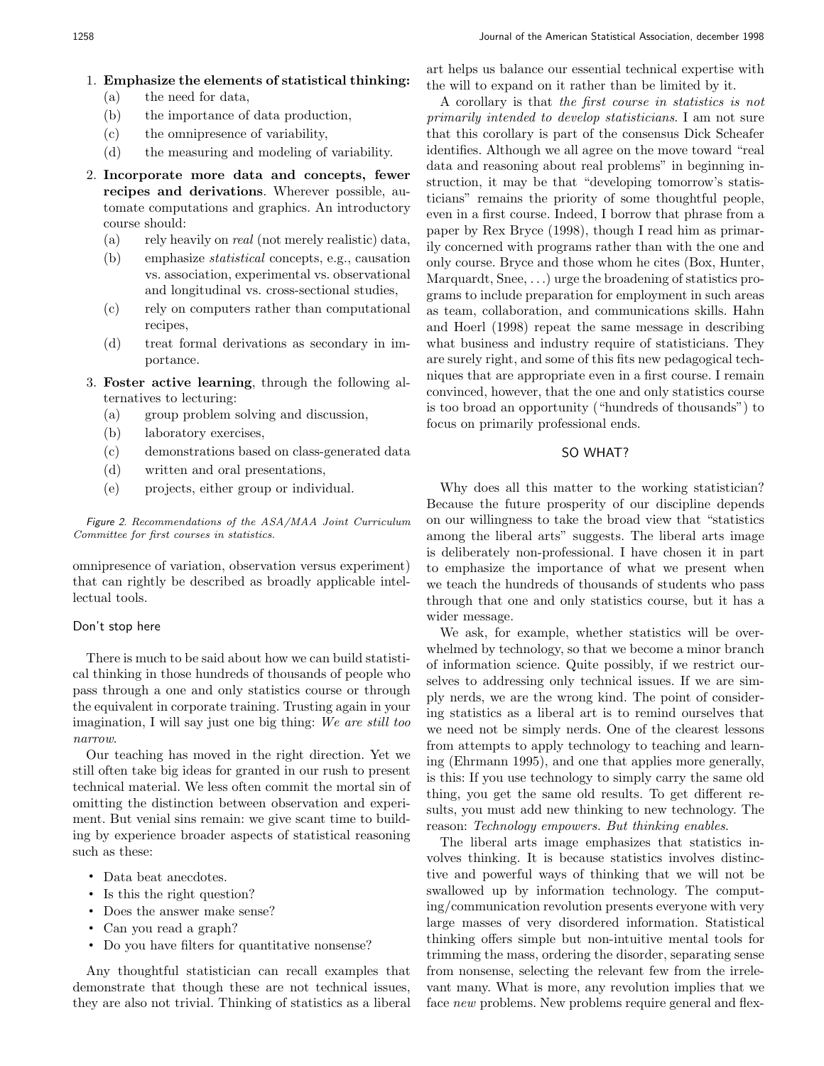- 1. **Emphasize the elements of statistical thinking:**
	- (a) the need for data,
	- (b) the importance of data production,
	- (c) the omnipresence of variability,
	- (d) the measuring and modeling of variability.
- 2. **Incorporate more data and concepts, fewer recipes and derivations**. Wherever possible, automate computations and graphics. An introductory course should:
	- (a) rely heavily on *real* (not merely realistic) data,
	- (b) emphasize *statistical* concepts, e.g., causation vs. association, experimental vs. observational and longitudinal vs. cross-sectional studies,
	- (c) rely on computers rather than computational recipes,
	- (d) treat formal derivations as secondary in importance.
- 3. **Foster active learning**, through the following alternatives to lecturing:
	- (a) group problem solving and discussion,
	- (b) laboratory exercises,
	- (c) demonstrations based on class-generated data
	- (d) written and oral presentations,
	- (e) projects, either group or individual.

Figure 2. Recommendations of the ASA/MAA Joint Curriculum Committee for first courses in statistics.

omnipresence of variation, observation versus experiment) that can rightly be described as broadly applicable intellectual tools.

#### Don't stop here

There is much to be said about how we can build statistical thinking in those hundreds of thousands of people who pass through a one and only statistics course or through the equivalent in corporate training. Trusting again in your imagination, I will say just one big thing: *We are still too narrow*.

Our teaching has moved in the right direction. Yet we still often take big ideas for granted in our rush to present technical material. We less often commit the mortal sin of omitting the distinction between observation and experiment. But venial sins remain: we give scant time to building by experience broader aspects of statistical reasoning such as these:

- Data beat anecdotes.
- Is this the right question?
- Does the answer make sense?
- Can you read a graph?
- Do you have filters for quantitative nonsense?

Any thoughtful statistician can recall examples that demonstrate that though these are not technical issues, they are also not trivial. Thinking of statistics as a liberal art helps us balance our essential technical expertise with the will to expand on it rather than be limited by it.

A corollary is that *the first course in statistics is not primarily intended to develop statisticians*. I am not sure that this corollary is part of the consensus Dick Scheafer identifies. Although we all agree on the move toward "real data and reasoning about real problems" in beginning instruction, it may be that "developing tomorrow's statisticians" remains the priority of some thoughtful people, even in a first course. Indeed, I borrow that phrase from a paper by Rex Bryce (1998), though I read him as primarily concerned with programs rather than with the one and only course. Bryce and those whom he cites (Box, Hunter, Marquardt, Snee, ...) urge the broadening of statistics programs to include preparation for employment in such areas as team, collaboration, and communications skills. Hahn and Hoerl (1998) repeat the same message in describing what business and industry require of statisticians. They are surely right, and some of this fits new pedagogical techniques that are appropriate even in a first course. I remain convinced, however, that the one and only statistics course is too broad an opportunity ("hundreds of thousands") to focus on primarily professional ends.

# SO WHAT?

Why does all this matter to the working statistician? Because the future prosperity of our discipline depends on our willingness to take the broad view that "statistics among the liberal arts" suggests. The liberal arts image is deliberately non-professional. I have chosen it in part to emphasize the importance of what we present when we teach the hundreds of thousands of students who pass through that one and only statistics course, but it has a wider message.

We ask, for example, whether statistics will be overwhelmed by technology, so that we become a minor branch of information science. Quite possibly, if we restrict ourselves to addressing only technical issues. If we are simply nerds, we are the wrong kind. The point of considering statistics as a liberal art is to remind ourselves that we need not be simply nerds. One of the clearest lessons from attempts to apply technology to teaching and learning (Ehrmann 1995), and one that applies more generally, is this: If you use technology to simply carry the same old thing, you get the same old results. To get different results, you must add new thinking to new technology. The reason: *Technology empowers. But thinking enables*.

The liberal arts image emphasizes that statistics involves thinking. It is because statistics involves distinctive and powerful ways of thinking that we will not be swallowed up by information technology. The computing/communication revolution presents everyone with very large masses of very disordered information. Statistical thinking offers simple but non-intuitive mental tools for trimming the mass, ordering the disorder, separating sense from nonsense, selecting the relevant few from the irrelevant many. What is more, any revolution implies that we face *new* problems. New problems require general and flex